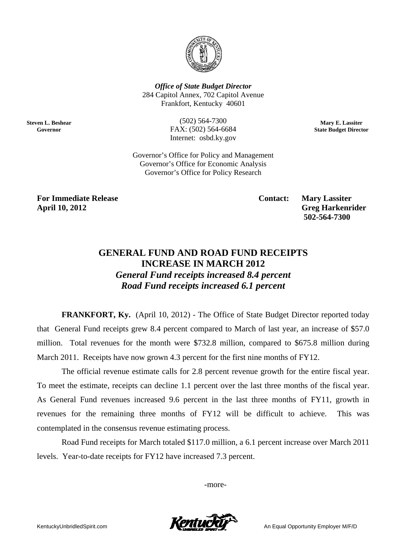

**Office of State Budget Director** 284 Capitol Annex, 702 Capitol Avenue Frankfort, Kentucky 40601

> $(502) 564 - 7300$ FAX: (502) 564-6684 Internet: osbd.ky.gov

Mary E. Lassiter **State Budget Director** 

Governor's Office for Policy and Management Governor's Office for Economic Analysis Governor's Office for Policy Research

**For Immediate Release April 10, 2012** 

**Steven L. Beshear** 

Governor

**Contact:** 

**Mary Lassiter Greg Harkenrider** 502-564-7300

# **GENERAL FUND AND ROAD FUND RECEIPTS INCREASE IN MARCH 2012 General Fund receipts increased 8.4 percent**

Road Fund receipts increased 6.1 percent

**FRANKFORT, Ky.** (April 10, 2012) - The Office of State Budget Director reported today that General Fund receipts grew 8.4 percent compared to March of last year, an increase of \$57.0 million. Total revenues for the month were \$732.8 million, compared to \$675.8 million during March 2011. Receipts have now grown 4.3 percent for the first nine months of FY12.

The official revenue estimate calls for 2.8 percent revenue growth for the entire fiscal year. To meet the estimate, receipts can decline 1.1 percent over the last three months of the fiscal year. As General Fund revenues increased 9.6 percent in the last three months of FY11, growth in revenues for the remaining three months of FY12 will be difficult to achieve. This was contemplated in the consensus revenue estimating process.

Road Fund receipts for March totaled \$117.0 million, a 6.1 percent increase over March 2011 levels. Year-to-date receipts for FY12 have increased 7.3 percent.

-more-

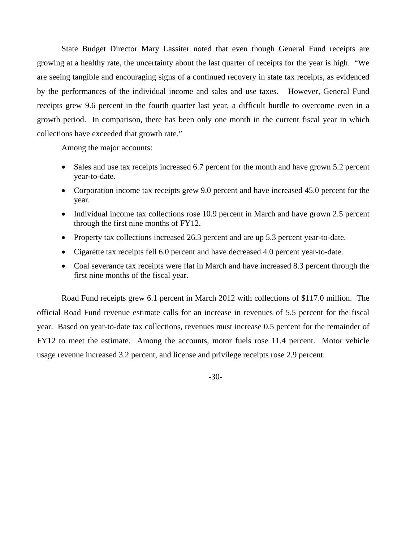State Budget Director Mary Lassiter noted that even though General Fund receipts are growing at a healthy rate, the uncertainty about the last quarter of receipts for the year is high. "We are seeing tangible and encouraging signs of a continued recovery in state tax receipts, as evidenced by the performances of the individual income and sales and use taxes. However, General Fund receipts grew 9.6 percent in the fourth quarter last year, a difficult hurdle to overcome even in a growth period. In comparison, there has been only one month in the current fiscal year in which collections have exceeded that growth rate."

Among the major accounts:

- Sales and use tax receipts increased 6.7 percent for the month and have grown 5.2 percent year-to-date.
- Corporation income tax receipts grew 9.0 percent and have increased 45.0 percent for the year.
- Individual income tax collections rose 10.9 percent in March and have grown 2.5 percent through the first nine months of FY12.
- Property tax collections increased 26.3 percent and are up 5.3 percent year-to-date.
- Cigarette tax receipts fell 6.0 percent and have decreased 4.0 percent year-to-date.
- Coal severance tax receipts were flat in March and have increased 8.3 percent through the first nine months of the fiscal year.

Road Fund receipts grew 6.1 percent in March 2012 with collections of \$117.0 million. The official Road Fund revenue estimate calls for an increase in revenues of 5.5 percent for the fiscal year. Based on year-to-date tax collections, revenues must increase 0.5 percent for the remainder of FY12 to meet the estimate. Among the accounts, motor fuels rose 11.4 percent. Motor vehicle usage revenue increased 3.2 percent, and license and privilege receipts rose 2.9 percent.

-30-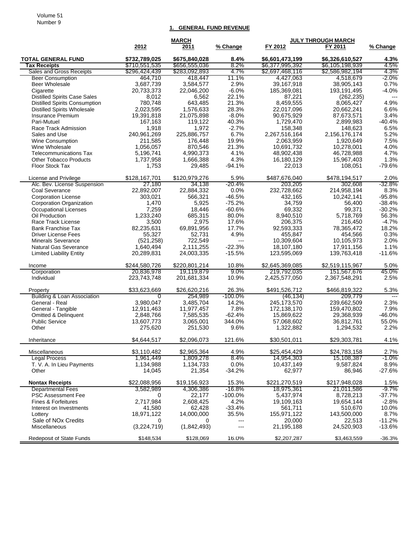#### Volume 51 Number 9

### **1. GENERAL FUND REVENUE**

|                                        |                      | <b>MARCH</b>       |                |                         | <b>JULY THROUGH MARCH</b> |              |
|----------------------------------------|----------------------|--------------------|----------------|-------------------------|---------------------------|--------------|
|                                        | 2012                 | 2011               | % Change       | FY 2012                 | FY 2011                   | % Change     |
| <b>TOTAL GENERAL FUND</b>              | \$732.789.025        | \$675,840,028      | 8.4%           | \$6,601,473,199         | \$6,326,610,527           | 4.3%         |
| <b>Tax Receipts</b>                    | \$710,551,535        | \$656,555,036      | 8.2%           | \$6,377,995,392         | \$6,105,198,939           | 4.5%         |
| Sales and Gross Receipts               | \$296,424,439        | \$283,092,893      | 4.7%           | \$2,697,468,116         | \$2,586,982,194           | 4.3%         |
| <b>Beer Consumption</b>                | 464.710              | 418.447            | 11.1%          | 4,427,063               | 4,518,679                 | $-2.0%$      |
| <b>Beer Wholesale</b>                  | 3,687,739            | 3,584,577          | 2.9%           | 39,167,918              | 38,905,143                | 0.7%         |
| Cigarette                              | 20,733,373           | 22,046,200         | $-6.0%$        | 185,369,081             | 193,191,495               | $-4.0%$      |
| <b>Distilled Spirits Case Sales</b>    | 8,012                | 6,562              | 22.1%          | 87,221                  | (262, 235)                | $---$        |
| <b>Distilled Spirits Consumption</b>   | 780,748              | 643,485            | 21.3%          | 8,459,555               | 8,065,427                 | 4.9%         |
| <b>Distilled Spirits Wholesale</b>     | 2.023.595            | 1,576,633          | 28.3%          | 22,017,096              | 20,662,241                | 6.6%         |
| <b>Insurance Premium</b>               | 19,391,818           | 21,075,898         | $-8.0%$        | 90,675,929              | 87,673,571                | 3.4%         |
| Pari-Mutuel                            | 167,163              | 119,122            | 40.3%          | 1,729,470               | 2,899,983                 | $-40.4%$     |
| Race Track Admission                   | 1,918                | 1,972              | $-2.7%$        | 158,348                 | 148,623                   | 6.5%         |
| Sales and Use                          | 240,961,269          | 225,886,757        | 6.7%           | 2,267,516,164           | 2,156,176,174             | 5.2%         |
| Wine Consumption<br>Wine Wholesale     | 211,585<br>1,056,057 | 176,448<br>870,546 | 19.9%<br>21.3% | 2,063,959<br>10,691,732 | 1,920,649<br>10,278,001   | 7.5%<br>4.0% |
| <b>Telecommunications Tax</b>          | 5,196,741            | 4,990,373          | 4.1%           | 48,902,438              | 46,728,988                | 4.7%         |
| <b>Other Tobacco Products</b>          | 1,737,958            | 1,666,388          | 4.3%           | 16,180,129              | 15,967,403                | 1.3%         |
| Floor Stock Tax                        | 1,753                | 29,485             | $-94.1%$       | 22,013                  | 108,051                   | $-79.6%$     |
|                                        |                      |                    |                |                         |                           |              |
| License and Privilege                  | \$128,167,701        | \$120.979.276      | 5.9%           | \$487,676,040           | \$478,194,517             | 2.0%         |
| Alc. Bev. License Suspension           | 27,180               | 34,138             | $-20.4%$       | 203,205                 | 302,608                   | $-32.8%$     |
| Coal Severance                         | 22,892,007           | 22,884,332         | 0.0%           | 232,728,662             | 214,958,194               | 8.3%         |
| <b>Corporation License</b>             | 303,021              | 566,321            | $-46.5%$       | 432,165                 | 10,242,141                | $-95.8%$     |
| <b>Corporation Organization</b>        | 1,470                | 5,925              | $-75.2%$       | 34,759                  | 56,400                    | $-38.4%$     |
| <b>Occupational Licenses</b>           | 7,259                | 18,446             | $-60.6%$       | 69,332                  | 99,371                    | $-30.2%$     |
| Oil Production                         | 1,233,240            | 685,315            | 80.0%          | 8,940,510               | 5,718,769                 | 56.3%        |
| Race Track License                     | 3,500                | 2,975              | 17.6%          | 206.375                 | 216,450                   | $-4.7%$      |
| <b>Bank Franchise Tax</b>              | 82,235,631           | 69,891,956         | 17.7%          | 92,593,333              | 78,365,472                | 18.2%        |
| <b>Driver License Fees</b>             | 55,327               | 52,731             | 4.9%           | 455,847                 | 454,566                   | 0.3%         |
| <b>Minerals Severance</b>              | (521, 258)           | 722,549            | $---$          | 10,309,604              | 10,105,973                | 2.0%         |
| <b>Natural Gas Severance</b>           | 1,640,494            | 2,111,255          | $-22.3%$       | 18,107,180              | 17,911,156                | 1.1%         |
| <b>Limited Liability Entity</b>        | 20,289,831           | 24,003,335         | $-15.5%$       | 123,595,069             | 139,763,418               | -11.6%       |
| Income                                 | \$244,580,726        | \$220,801,214      | 10.8%          | \$2,645,369,085         | \$2,519,115,967           | 5.0%         |
| Corporation                            | 20,836,978           | 19,119,879         | 9.0%           | 219,792,035             | 151,567,676               | 45.0%        |
| Individual                             | 223,743,748          | 201,681,334        | 10.9%          | 2,425,577,050           | 2,367,548,291             | 2.5%         |
| Property                               | \$33,623,669         | \$26,620,216       | 26.3%          | \$491,526,712           | \$466,819,322             | 5.3%         |
| <b>Building &amp; Loan Association</b> | 0                    | 254,989            | $-100.0\%$     | (46, 134)               | 209,779                   | $---$        |
| General - Real                         | 3.980.047            | 3,485,704          | 14.2%          | 245, 173, 570           | 239,662,509               | 2.3%         |
| General - Tangible                     | 12,911,463           | 11,977,457         | 7.8%           | 172,138,170             | 159,470,802               | 7.9%         |
| <b>Omitted &amp; Delinquent</b>        | 2,848,766            | 7,585,535          | $-62.4%$       | 15,869,622              | 29,368,939                | $-46.0%$     |
| <b>Public Service</b>                  | 13,607,773           | 3,065,001          | 344.0%         | 57,068,602              | 36,812,761                | 55.0%        |
| Other                                  | 275,620              | 251,530            | 9.6%           | 1,322,882               | 1,294,532                 | 2.2%         |
| Inheritance                            | \$4,644,517          | \$2,096,073        | 121.6%         | \$30,501,011            | \$29,303,781              | 4.1%         |
| Miscellaneous                          | \$3,110,482          | \$2,965,364        | 4.9%           | \$25,454,429            | \$24,783,158              | 2.7%         |
| <b>Legal Process</b>                   | 1,961,449            | 1,809,278          | 8.4%           | 14,954,303              | 15,108,387                | $-1.0%$      |
| T. V. A. In Lieu Payments              | 1,134,988            | 1,134,733          | 0.0%           | 10,437,149              | 9,587,824                 | 8.9%         |
| Other                                  | 14,045               | 21,354             | $-34.2%$       | 62,977                  | 86,946                    | $-27.6%$     |
| <b>Nontax Receipts</b>                 | \$22,088,956         | \$19,156,923       | 15.3%          | \$221,270,519           | \$217,948,028             | 1.5%         |
| <b>Departmental Fees</b>               | 3,582,989            | 4,306,386          | -16.8%         | 18,975,361              | 21,011,586                | -9.7%        |
| <b>PSC Assessment Fee</b>              | 0                    | 22,177             | $-100.0\%$     | 5,437,974               | 8,728,213                 | $-37.7%$     |
| Fines & Forfeitures                    | 2,717,984            | 2,608,425          | 4.2%           | 19,109,163              | 19,654,144                | $-2.8%$      |
| Interest on Investments                | 41,580               | 62,428             | $-33.4%$       | 561,711                 | 510,670                   | 10.0%        |
| Lottery                                | 18,971,122           | 14,000,000         | 35.5%          | 155,971,122             | 143,500,000               | 8.7%         |
| Sale of NO <sub>x</sub> Credits        | 0                    | 0                  | $---$          | 20,000                  | 22,513                    | -11.2%       |
| Miscellaneous                          | (3,224,719)          | (1,842,493)        | ---            | 21,195,188              | 24,520,903                | $-13.6%$     |
| Redeposit of State Funds               | \$148,534            | \$128,069          | 16.0%          | \$2,207,287             | \$3,463,559               | $-36.3%$     |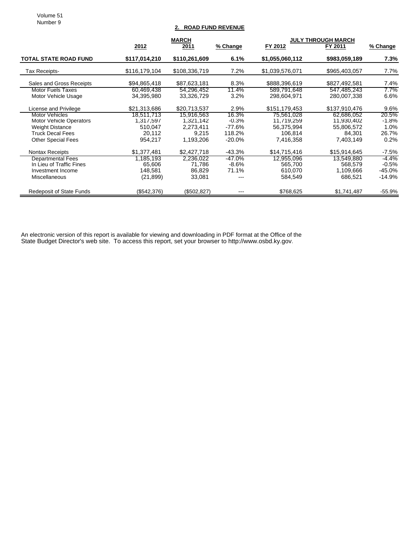Volume 51 Number 9

## **2. ROAD FUND REVENUE**

|                                 | <b>MARCH</b>  |               |           | <b>JULY THROUGH MARCH</b> |               |          |
|---------------------------------|---------------|---------------|-----------|---------------------------|---------------|----------|
|                                 | 2012          | 2011          | % Change  | FY 2012                   | FY 2011       | % Change |
| <b>TOTAL STATE ROAD FUND</b>    | \$117,014,210 | \$110,261,609 | 6.1%      | \$1,055,060,112           | \$983,059,189 | 7.3%     |
| Tax Receipts-                   | \$116,179,104 | \$108,336,719 | 7.2%      | \$1,039,576,071           | \$965,403,057 | 7.7%     |
| Sales and Gross Receipts        | \$94,865,418  | \$87,623,181  | 8.3%      | \$888,396,619             | \$827,492,581 | 7.4%     |
| <b>Motor Fuels Taxes</b>        | 60,469,438    | 54,296,452    | 11.4%     | 589,791,648               | 547,485,243   | $7.7\%$  |
| Motor Vehicle Usage             | 34,395,980    | 33,326,729    | 3.2%      | 298,604,971               | 280,007,338   | 6.6%     |
| License and Privilege           | \$21,313,686  | \$20.713.537  | 2.9%      | \$151.179.453             | \$137,910,476 | $9.6\%$  |
| <b>Motor Vehicles</b>           | 18,511,713    | 15,916,563    | 16.3%     | 75,561,028                | 62.686.052    | 20.5%    |
| <b>Motor Vehicle Operators</b>  | 1,317,597     | 1,321,142     | $-0.3\%$  | 11,719,259                | 11,930,402    | $-1.8%$  |
| <b>Weight Distance</b>          | 510,047       | 2,273,411     | -77.6%    | 56,375,994                | 55,806,572    | $1.0\%$  |
| <b>Truck Decal Fees</b>         | 20,112        | 9,215         | 118.2%    | 106,814                   | 84,301        | 26.7%    |
| <b>Other Special Fees</b>       | 954.217       | 1,193,206     | $-20.0\%$ | 7,416,358                 | 7,403,149     | 0.2%     |
| Nontax Receipts                 | \$1,377,481   | \$2,427,718   | -43.3%    | \$14,715,416              | \$15,914,645  | $-7.5%$  |
| <b>Departmental Fees</b>        | 1,185,193     | 2,236,022     | -47.0%    | 12,955,096                | 13,549,880    | $-4.4\%$ |
| In Lieu of Traffic Fines        | 65,606        | 71,786        | $-8.6\%$  | 565,700                   | 568,579       | $-0.5\%$ |
| Investment Income               | 148,581       | 86,829        | 71.1%     | 610,070                   | 1,109,666     | -45.0%   |
| <b>Miscellaneous</b>            | (21, 899)     | 33,081        |           | 584,549                   | 686.521       | -14.9%   |
| <b>Redeposit of State Funds</b> | (\$542,376)   | (\$502, 827)  |           | \$768,625                 | \$1,741,487   | $-55.9%$ |

An electronic version of this report is available for viewing and downloading in PDF format at the Office of the State Budget Director's web site. To access this report, set your browser to http://www.osbd.ky.gov.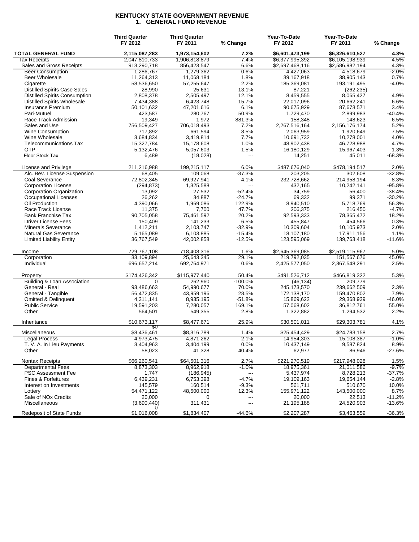#### **KENTUCKY STATE GOVERNMENT REVENUE 1. GENERAL FUND REVENUE**

|                                                    | <b>Third Quarter</b><br>FY 2012 | <b>Third Quarter</b><br>FY 2011 | % Change            | Year-To-Date<br>FY 2012    | Year-To-Date<br>FY 2011  | % Change               |
|----------------------------------------------------|---------------------------------|---------------------------------|---------------------|----------------------------|--------------------------|------------------------|
| <b>TOTAL GENERAL FUND</b>                          | 2,115,087,283                   | 1,973,154,602                   | 7.2%                | \$6,601,473,199            | \$6,326,610,527          | 4.3%                   |
| Tax Receipts                                       | 2,047,810,733                   | 1.906.818.879                   | 7.4%                | \$6,377,995,392            | \$6,105,198,939          | 4.5%                   |
| Sales and Gross Receipts                           | 913,290,718                     | 856,423,547                     | 6.6%                | \$2,697,468,116            | \$2,586,982,194          | 4.3%                   |
| <b>Beer Consumption</b>                            | 1,286,767                       | 1,279,362                       | 0.6%                | 4,427,063                  | 4,518,679                | $-2.0\%$               |
| <b>Beer Wholesale</b>                              | 11,264,313                      | 11,068,184                      | 1.8%                | 39,167,918                 | 38,905,143               | 0.7%                   |
| Cigarette                                          | 58,536,650                      | 57,255,647                      | 2.2%                | 185,369,081                | 193,191,495              | $-4.0%$                |
| <b>Distilled Spirits Case Sales</b>                | 28,990                          | 25,631                          | 13.1%               | 87,221                     | (262, 235)               | $\overline{a}$         |
| <b>Distilled Spirits Consumption</b>               | 2,808,378                       | 2,505,497                       | 12.1%               | 8,459,555                  | 8,065,427                | 4.9%                   |
| <b>Distilled Spirits Wholesale</b>                 | 7,434,388                       | 6,423,748                       | 15.7%               | 22,017,096                 | 20,662,241               | 6.6%                   |
| Insurance Premium                                  | 50,101,632                      | 47,201,616                      | 6.1%                | 90,675,929                 | 87,673,571               | 3.4%                   |
| Pari-Mutuel                                        | 423,587                         | 280,767                         | 50.9%               | 1,729,470                  | 2,899,983                | $-40.4%$               |
| Race Track Admission                               | 19,349                          | 1,972                           | 881.3%              | 158,348                    | 148,623                  | 6.5%                   |
| Sales and Use                                      | 756,509,427                     | 706,018,493                     | 7.2%                | 2,267,516,164              | 2,156,176,174            | 5.2%                   |
| Wine Consumption                                   | 717,892                         | 661,594                         | 8.5%                | 2,063,959                  | 1,920,649                | 7.5%                   |
| Wine Wholesale                                     | 3,684,834                       | 3,419,814                       | 7.7%                | 10,691,732                 | 10,278,001               | 4.0%                   |
| <b>Telecommunications Tax</b>                      | 15,327,784                      | 15,178,608                      | 1.0%                | 48,902,438                 | 46,728,988               | 4.7%                   |
| <b>OTP</b>                                         | 5,132,476                       | 5,057,603                       | 1.5%                | 16,180,129                 | 15,967,403               | 1.3%                   |
| Floor Stock Tax                                    | 6,489                           | (18,028)                        | ---                 | 14,251                     | 45,011                   | $-68.3%$               |
| License and Privilege                              | 211.216.988                     | 199,215,117                     | 6.0%                | \$487,676,040              | \$478,194,517            | 2.0%                   |
| Alc. Bev. License Suspension                       | 68,405                          | 109,068                         | $-37.3%$            | 203,205                    | 302,608                  | $-32.8%$               |
| Coal Severance                                     | 72,802,345                      | 69,927,941                      | 4.1%                | 232,728,662                | 214,958,194              | 8.3%                   |
| <b>Corporation License</b>                         | (294, 873)                      | 1,325,588                       | $\overline{a}$      | 432,165                    | 10,242,141               | $-95.8%$               |
| Corporation Organization                           | 13,092                          | 27,532                          | $-52.4%$            | 34,759                     | 56,400                   | $-38.4%$               |
| Occupational Licenses                              | 26,262                          | 34,887                          | $-24.7%$            | 69,332                     | 99,371                   | $-30.2%$               |
| Oil Production                                     | 4,390,066                       | 1,969,086                       | 122.9%              | 8,940,510                  | 5,718,769                | 56.3%                  |
| Race Track License                                 | 11,375                          | 7,700                           | 47.7%               | 206,375                    | 216,450                  | $-4.7%$                |
| <b>Bank Franchise Tax</b>                          | 90,705,058                      | 75,461,592                      | 20.2%               | 92,593,333                 | 78,365,472               | 18.2%                  |
| <b>Driver License Fees</b>                         | 150,409                         | 141,233                         | 6.5%                | 455,847                    | 454,566                  | 0.3%                   |
| <b>Minerals Severance</b>                          | 1,412,211                       | 2,103,747                       | $-32.9%$            | 10,309,604                 | 10,105,973               | 2.0%                   |
| Natural Gas Severance                              | 5,165,089                       | 6,103,885                       | $-15.4%$            | 18,107,180                 | 17,911,156               | 1.1%                   |
| <b>Limited Liability Entity</b>                    | 36,767,549                      | 42,002,858                      | $-12.5%$            | 123,595,069                | 139,763,418              | $-11.6%$               |
| Income                                             | 729,767,108                     | 718,408,316                     | 1.6%                | \$2,645,369,085            | \$2,519,115,967          | 5.0%                   |
| Corporation                                        | 33,109,894                      | 25,643,345                      | 29.1%               | 219,792,035                | 151,567,676              | 45.0%                  |
| Individual                                         | 696,657,214                     | 692,764,971                     | 0.6%                | 2,425,577,050              | 2,367,548,291            | 2.5%                   |
| Property<br><b>Building &amp; Loan Association</b> | \$174,426,342<br>0              | \$115,977,440<br>262,960        | 50.4%<br>$-100.0\%$ | \$491,526,712<br>(46, 134) | \$466,819,322<br>209,779 | 5.3%<br>$\overline{a}$ |
| General - Real                                     | 93,486,663                      | 54,990,677                      | 70.0%               | 245, 173, 570              | 239,662,509              | 2.3%                   |
| General - Tangible                                 | 56,472,835                      | 43,959,196                      | 28.5%               | 172,138,170                | 159,470,802              | 7.9%                   |
| Omitted & Delinquent                               | 4,311,141                       | 8,935,195                       | $-51.8%$            | 15,869,622                 | 29,368,939               | $-46.0%$               |
| <b>Public Service</b>                              | 19,591,203                      | 7,280,057                       | 169.1%              | 57,068,602                 | 36,812,761               | 55.0%                  |
| Other                                              | 564,501                         | 549,355                         | 2.8%                | 1,322,882                  | 1,294,532                | 2.2%                   |
| Inheritance                                        | \$10,673,117                    | \$8,477,671                     | 25.9%               | \$30,501,011               | \$29,303,781             | 4.1%                   |
| Miscellaneous                                      | 20<br>\$8,436,461               | \$8,316,789                     | 1.4%                | \$25,454,429               | \$24,783,158             | 2.7%                   |
| <b>Legal Process</b>                               | 4,973,475                       | 4,871,262                       | 2.1%                | 14,954,303                 | 15,108,387               | $-1.0%$                |
| T. V. A. In Lieu Payments                          | 3,404,963                       | 3,404,199                       | 0.0%                | 10,437,149                 | 9,587,824                | 8.9%                   |
| Other                                              | 58,023                          | 41,328                          | 40.4%               | 62,977                     | 86,946                   | $-27.6%$               |
| <b>Nontax Receipts</b>                             | \$66.260.541                    | \$64,501,316                    | 2.7%                | \$221,270,519              | \$217,948,028            | 1.5%                   |
| <b>Departmental Fees</b>                           | 8,873,303                       | 8,962,918                       | $-1.0%$             | 18,975,361                 | 21,011,586               | -9.7%                  |
| <b>PSC Assessment Fee</b>                          | 1,747                           | (186, 945)                      | ---                 | 5,437,974                  | 8,728,213                | $-37.7%$               |
| Fines & Forfeitures                                | 6,439,231                       | 6,753,398                       | $-4.7%$             | 19,109,163                 | 19,654,144               | $-2.8%$                |
| Interest on Investments                            | 145,579                         | 160,514                         | $-9.3%$             | 561,711                    | 510,670                  | 10.0%                  |
| Lottery                                            | 54,471,122                      | 48,500,000                      | 12.3%               | 155,971,122                | 143,500,000              | 8.7%                   |
| Sale of NO <sub>x</sub> Credits                    | 20,000                          | 0                               | ---                 | 20,000                     | 22,513                   | $-11.2%$               |
| Miscellaneous                                      | (3,690,440)<br>U                | 311,431                         | ---                 | 21,195,188                 | 24,520,903               | $-13.6%$               |
| Redeposit of State Funds                           | \$1,016,008                     | \$1,834,407                     | $-44.6%$            | \$2,207,287                | \$3,463,559              | $-36.3%$               |